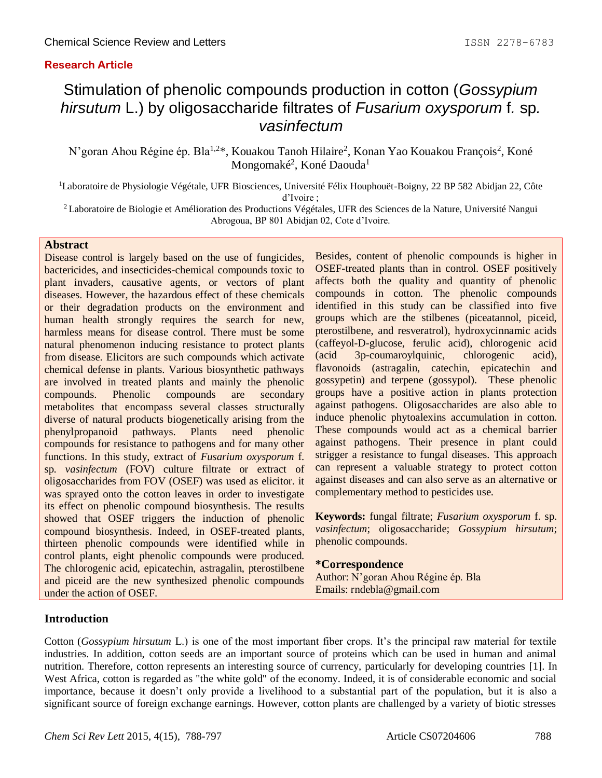## **Research Article**

# Stimulation of phenolic compounds production in cotton (*Gossypium hirsutum* L.) by oligosaccharide filtrates of *Fusarium oxysporum* f*.* sp*. vasinfectum*

N'goran Ahou Régine ép. Bla<sup>1,2\*</sup>, Kouakou Tanoh Hilaire<sup>2</sup>, Konan Yao Kouakou François<sup>2</sup>, Koné Mongomaké<sup>2</sup>, Koné Daouda<sup>1</sup>

<sup>1</sup>Laboratoire de Physiologie Végétale, UFR Biosciences, Université Félix Houphouët-Boigny, 22 BP 582 Abidjan 22, Côte d'Ivoire ;

<sup>2</sup>Laboratoire de Biologie et Amélioration des Productions Végétales, UFR des Sciences de la Nature, Université Nangui Abrogoua, BP 801 Abidjan 02, Cote d'Ivoire.

## **Abstract**

Disease control is largely based on the use of fungicides, bactericides, and insecticides-chemical compounds toxic to plant invaders, causative agents, or vectors of plant diseases. However, the hazardous effect of these chemicals or their degradation products on the environment and human health strongly requires the search for new, harmless means for disease control. There must be some natural phenomenon inducing resistance to protect plants from disease. Elicitors are such compounds which activate chemical defense in plants. Various biosynthetic pathways are involved in treated plants and mainly the phenolic compounds. Phenolic compounds are secondary metabolites that encompass several classes structurally diverse of natural products biogenetically arising from the phenylpropanoid pathways. Plants need phenolic compounds for resistance to pathogens and for many other functions. In this study, extract of *Fusarium oxysporum* f. sp. *vasinfectum* (FOV) culture filtrate or extract of oligosaccharides from FOV (OSEF) was used as elicitor. it was sprayed onto the cotton leaves in order to investigate its effect on phenolic compound biosynthesis. The results showed that OSEF triggers the induction of phenolic compound biosynthesis. Indeed, in OSEF-treated plants, thirteen phenolic compounds were identified while in control plants, eight phenolic compounds were produced. The chlorogenic acid, epicatechin, astragalin, pterostilbene and piceid are the new synthesized phenolic compounds under the action of OSEF.

Besides, content of phenolic compounds is higher in OSEF-treated plants than in control. OSEF positively affects both the quality and quantity of phenolic compounds in cotton. The phenolic compounds identified in this study can be classified into five groups which are the stilbenes (piceatannol, piceid, pterostilbene, and resveratrol), hydroxycinnamic acids (caffeyol-D-glucose, ferulic acid), chlorogenic acid (acid 3p-coumaroylquinic, chlorogenic acid), flavonoids (astragalin, catechin, epicatechin and gossypetin) and terpene (gossypol). These phenolic groups have a positive action in plants protection against pathogens. Oligosaccharides are also able to induce phenolic phytoalexins accumulation in cotton. These compounds would act as a chemical barrier against pathogens. Their presence in plant could strigger a resistance to fungal diseases. This approach can represent a valuable strategy to protect cotton against diseases and can also serve as an alternative or complementary method to pesticides use.

**Keywords:** fungal filtrate; *Fusarium oxysporum* f. sp. *vasinfectum*; oligosaccharide; *Gossypium hirsutum*; phenolic compounds.

#### **\*Correspondence**

Author: N'goran Ahou Régine ép. Bla Emails: rndebla@gmail.com

## **Introduction**

Cotton (*Gossypium hirsutum* L.) is one of the most important fiber crops. It's the principal raw material for textile industries. In addition, cotton seeds are an important source of proteins which can be used in human and animal nutrition. Therefore, cotton represents an interesting source of currency, particularly for developing countries [1]. In West Africa, cotton is regarded as "the white gold" of the economy. Indeed, it is of considerable economic and social importance, because it doesn't only provide a livelihood to a substantial part of the population, but it is also a significant source of foreign exchange earnings. However, cotton plants are challenged by a variety of biotic stresses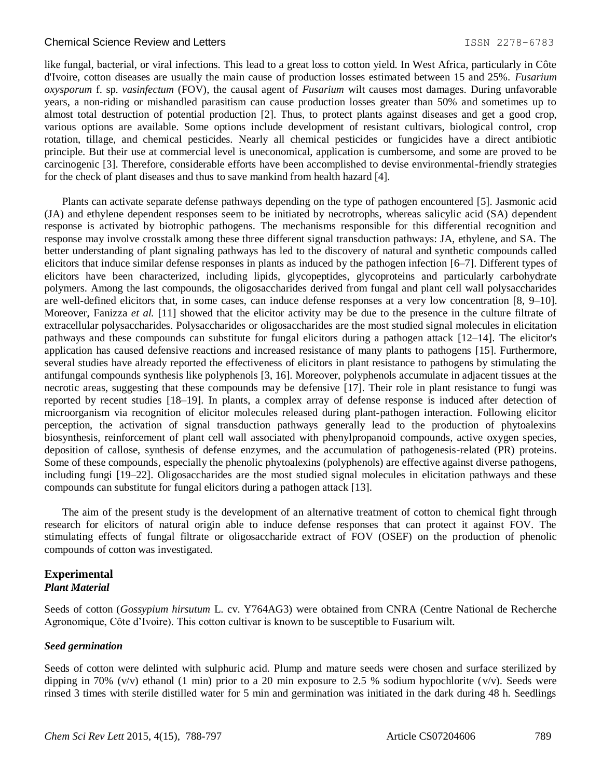like fungal, bacterial, or viral infections. This lead to a great loss to cotton yield. In West Africa, particularly in Côte d'Ivoire, cotton diseases are usually the main cause of production losses estimated between 15 and 25%. *Fusarium oxysporum* f. sp. *vasinfectum* (FOV), the causal agent of *Fusarium* wilt causes most damages. During unfavorable years, a non-riding or mishandled parasitism can cause production losses greater than 50% and sometimes up to almost total destruction of potential production [2]. Thus, to protect plants against diseases and get a good crop, various options are available. Some options include development of resistant cultivars, biological control, crop rotation, tillage, and chemical pesticides. Nearly all chemical pesticides or fungicides have a direct antibiotic principle. But their use at commercial level is uneconomical, application is cumbersome, and some are proved to be carcinogenic [3]. Therefore, considerable efforts have been accomplished to devise environmental-friendly strategies for the check of plant diseases and thus to save mankind from health hazard [4].

Plants can activate separate defense pathways depending on the type of pathogen encountered [5]. Jasmonic acid (JA) and ethylene dependent responses seem to be initiated by necrotrophs, whereas salicylic acid (SA) dependent response is activated by biotrophic pathogens. The mechanisms responsible for this differential recognition and response may involve crosstalk among these three different signal transduction pathways: JA, ethylene, and SA. The better understanding of plant signaling pathways has led to the discovery of natural and synthetic compounds called elicitors that induce similar defense responses in plants as induced by the pathogen infection [6–7]. Different types of elicitors have been characterized, including lipids, glycopeptides, glycoproteins and particularly carbohydrate polymers. Among the last compounds, the oligosaccharides derived from fungal and plant cell wall polysaccharides are well-defined elicitors that, in some cases, can induce defense responses at a very low concentration [8, 9–10]. Moreover, Fanizza *et al.* [11] showed that the elicitor activity may be due to the presence in the culture filtrate of extracellular polysaccharides. Polysaccharides or oligosaccharides are the most studied signal molecules in elicitation pathways and these compounds can substitute for fungal elicitors during a pathogen attack [12–14]. The elicitor's application has caused defensive reactions and increased resistance of many plants to pathogens [15]. Furthermore, several studies have already reported the effectiveness of elicitors in plant resistance to pathogens by stimulating the antifungal compounds synthesis like polyphenols [3, 16]. Moreover, polyphenols accumulate in adjacent tissues at the necrotic areas, suggesting that these compounds may be defensive [17]. Their role in plant resistance to fungi was reported by recent studies [18–19]. In plants, a complex array of defense response is induced after detection of microorganism via recognition of elicitor molecules released during plant-pathogen interaction. Following elicitor perception, the activation of signal transduction pathways generally lead to the production of phytoalexins biosynthesis, reinforcement of plant cell wall associated with phenylpropanoid compounds, active oxygen species, deposition of callose, synthesis of defense enzymes, and the accumulation of pathogenesis-related (PR) proteins. Some of these compounds, especially the phenolic phytoalexins (polyphenols) are effective against diverse pathogens, including fungi [19–22]. Oligosaccharides are the most studied signal molecules in elicitation pathways and these compounds can substitute for fungal elicitors during a pathogen attack [13].

The aim of the present study is the development of an alternative treatment of cotton to chemical fight through research for elicitors of natural origin able to induce defense responses that can protect it against FOV. The stimulating effects of fungal filtrate or oligosaccharide extract of FOV (OSEF) on the production of phenolic compounds of cotton was investigated.

## **Experimental** *Plant Material*

Seeds of cotton (*Gossypium hirsutum* L. cv. Y764AG3) were obtained from CNRA (Centre National de Recherche Agronomique, Côte d'Ivoire). This cotton cultivar is known to be susceptible to Fusarium wilt.

#### *Seed germination*

Seeds of cotton were delinted with sulphuric acid. Plump and mature seeds were chosen and surface sterilized by dipping in 70% (v/v) ethanol (1 min) prior to a 20 min exposure to 2.5 % sodium hypochlorite (v/v). Seeds were rinsed 3 times with sterile distilled water for 5 min and germination was initiated in the dark during 48 h. Seedlings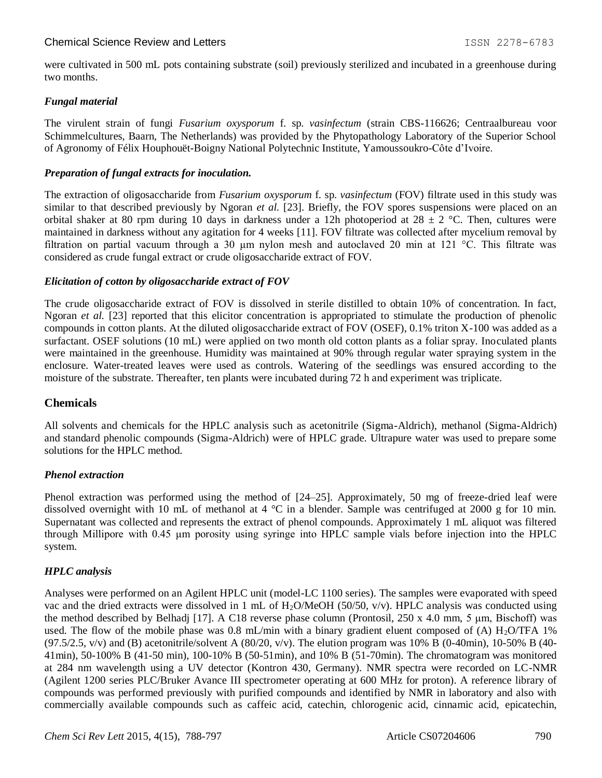were cultivated in 500 mL pots containing substrate (soil) previously sterilized and incubated in a greenhouse during two months.

## *Fungal material*

The virulent strain of fungi *Fusarium oxysporum* f. sp. *vasinfectum* (strain CBS-116626; Centraalbureau voor Schimmelcultures, Baarn, The Netherlands) was provided by the Phytopathology Laboratory of the Superior School of Agronomy of Félix Houphouët-Boigny National Polytechnic Institute, Yamoussoukro-Côte d'Ivoire.

## *Preparation of fungal extracts for inoculation.*

The extraction of oligosaccharide from *Fusarium oxysporum* f. sp. *vasinfectum* (FOV) filtrate used in this study was similar to that described previously by Ngoran *et al.* [23]. Briefly, the FOV spores suspensions were placed on an orbital shaker at 80 rpm during 10 days in darkness under a 12h photoperiod at  $28 \pm 2$  °C. Then, cultures were maintained in darkness without any agitation for 4 weeks [11]. FOV filtrate was collected after mycelium removal by filtration on partial vacuum through a 30 μm nylon mesh and autoclaved 20 min at 121 °C. This filtrate was considered as crude fungal extract or crude oligosaccharide extract of FOV.

#### *Elicitation of cotton by oligosaccharide extract of FOV*

The crude oligosaccharide extract of FOV is dissolved in sterile distilled to obtain 10% of concentration. In fact, Ngoran *et al.* [23] reported that this elicitor concentration is appropriated to stimulate the production of phenolic compounds in cotton plants. At the diluted oligosaccharide extract of FOV (OSEF), 0.1% triton X-100 was added as a surfactant. OSEF solutions (10 mL) were applied on two month old cotton plants as a foliar spray. Inoculated plants were maintained in the greenhouse. Humidity was maintained at 90% through regular water spraying system in the enclosure. Water-treated leaves were used as controls. Watering of the seedlings was ensured according to the moisture of the substrate. Thereafter, ten plants were incubated during 72 h and experiment was triplicate.

## **Chemicals**

All solvents and chemicals for the HPLC analysis such as acetonitrile (Sigma-Aldrich), methanol (Sigma-Aldrich) and standard phenolic compounds (Sigma-Aldrich) were of HPLC grade. Ultrapure water was used to prepare some solutions for the HPLC method.

#### *Phenol extraction*

Phenol extraction was performed using the method of [24–25]. Approximately, 50 mg of freeze-dried leaf were dissolved overnight with 10 mL of methanol at 4 °C in a blender. Sample was centrifuged at 2000 g for 10 min. Supernatant was collected and represents the extract of phenol compounds. Approximately 1 mL aliquot was filtered through Millipore with 0.45 μm porosity using syringe into HPLC sample vials before injection into the HPLC system.

#### *HPLC analysis*

Analyses were performed on an Agilent HPLC unit (model-LC 1100 series). The samples were evaporated with speed vac and the dried extracts were dissolved in 1 mL of  $H_2O/MeOH$  (50/50, v/v). HPLC analysis was conducted using the method described by Belhadj [17]. A C18 reverse phase column (Prontosil, 250 x 4.0 mm, 5 μm, Bischoff) was used. The flow of the mobile phase was 0.8 mL/min with a binary gradient eluent composed of (A)  $H_2O/TFA$  1%  $(97.5/2.5, v/v)$  and (B) acetonitrile/solvent A  $(80/20, v/v)$ . The elution program was 10% B  $(0-40min)$ , 10-50% B  $(40-$ 41min), 50-100% B (41-50 min), 100-10% B (50-51min), and 10% B (51-70min). The chromatogram was monitored at 284 nm wavelength using a UV detector (Kontron 430, Germany). NMR spectra were recorded on LC-NMR (Agilent 1200 series PLC/Bruker Avance III spectrometer operating at 600 MHz for proton). A reference library of compounds was performed previously with purified compounds and identified by NMR in laboratory and also with commercially available compounds such as caffeic acid, catechin, chlorogenic acid, cinnamic acid, epicatechin,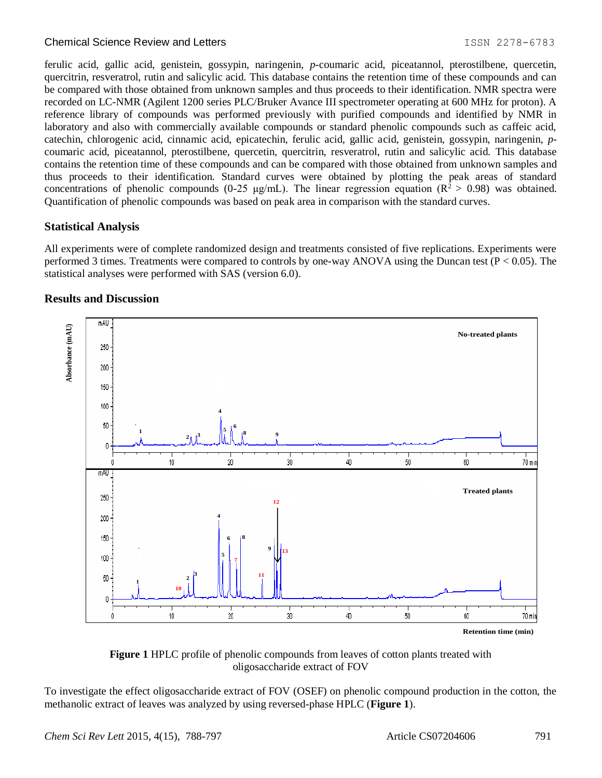ferulic acid, gallic acid, genistein, gossypin, naringenin, *p*-coumaric acid, piceatannol, pterostilbene, quercetin, quercitrin, resveratrol, rutin and salicylic acid. This database contains the retention time of these compounds and can be compared with those obtained from unknown samples and thus proceeds to their identification. NMR spectra were recorded on LC-NMR (Agilent 1200 series PLC/Bruker Avance III spectrometer operating at 600 MHz for proton). A reference library of compounds was performed previously with purified compounds and identified by NMR in laboratory and also with commercially available compounds or standard phenolic compounds such as caffeic acid, catechin, chlorogenic acid, cinnamic acid, epicatechin, ferulic acid, gallic acid, genistein, gossypin, naringenin, *p*coumaric acid, piceatannol, pterostilbene, quercetin, quercitrin, resveratrol, rutin and salicylic acid. This database contains the retention time of these compounds and can be compared with those obtained from unknown samples and thus proceeds to their identification. Standard curves were obtained by plotting the peak areas of standard concentrations of phenolic compounds (0-25 μg/mL). The linear regression equation ( $R^2 > 0.98$ ) was obtained. Quantification of phenolic compounds was based on peak area in comparison with the standard curves.

## **Statistical Analysis**

All experiments were of complete randomized design and treatments consisted of five replications. Experiments were performed 3 times. Treatments were compared to controls by one-way ANOVA using the Duncan test (P < 0.05). The statistical analyses were performed with SAS (version 6.0).

## **Results and Discussion**





To investigate the effect oligosaccharide extract of FOV (OSEF) on phenolic compound production in the cotton, the methanolic extract of leaves was analyzed by using reversed-phase HPLC (**Figure 1**).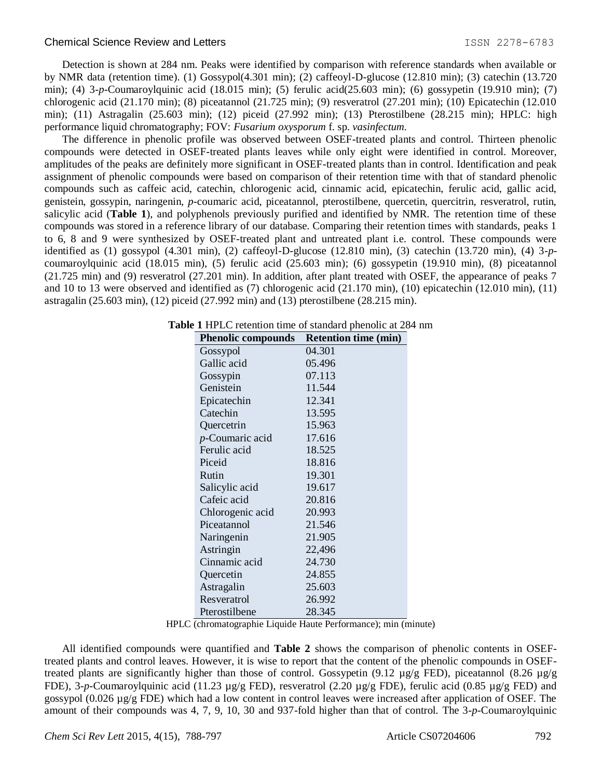Detection is shown at 284 nm. Peaks were identified by comparison with reference standards when available or by NMR data (retention time). (1) Gossypol(4.301 min); (2) caffeoyl-D-glucose (12.810 min); (3) catechin (13.720 min); (4) 3-*p*-Coumaroylquinic acid (18.015 min); (5) ferulic acid(25.603 min); (6) gossypetin (19.910 min); (7) chlorogenic acid (21.170 min); (8) piceatannol (21.725 min); (9) resveratrol (27.201 min); (10) Epicatechin (12.010 min); (11) Astragalin (25.603 min); (12) piceid (27.992 min); (13) Pterostilbene (28.215 min); HPLC: high performance liquid chromatography; FOV: *Fusarium oxysporum* f. sp. *vasinfectum.*

The difference in phenolic profile was observed between OSEF-treated plants and control. Thirteen phenolic compounds were detected in OSEF-treated plants leaves while only eight were identified in control. Moreover, amplitudes of the peaks are definitely more significant in OSEF-treated plants than in control. Identification and peak assignment of phenolic compounds were based on comparison of their retention time with that of standard phenolic compounds such as caffeic acid, catechin, chlorogenic acid, cinnamic acid, epicatechin, ferulic acid, gallic acid, genistein, gossypin, naringenin, *p*-coumaric acid, piceatannol, pterostilbene, quercetin, quercitrin, resveratrol, rutin, salicylic acid (**Table 1**), and polyphenols previously purified and identified by NMR. The retention time of these compounds was stored in a reference library of our database. Comparing their retention times with standards, peaks 1 to 6, 8 and 9 were synthesized by OSEF-treated plant and untreated plant i.e. control. These compounds were identified as (1) gossypol (4.301 min), (2) caffeoyl-D-glucose (12.810 min), (3) catechin (13.720 min), (4) 3-*p*coumaroylquinic acid (18.015 min), (5) ferulic acid (25.603 min); (6) gossypetin (19.910 min), (8) piceatannol (21.725 min) and (9) resveratrol (27.201 min). In addition, after plant treated with OSEF, the appearance of peaks 7 and 10 to 13 were observed and identified as (7) chlorogenic acid (21.170 min), (10) epicatechin (12.010 min), (11) astragalin (25.603 min), (12) piceid (27.992 min) and (13) pterostilbene (28.215 min).

| <b>Phenolic compounds</b> | <b>Retention time (min)</b> |
|---------------------------|-----------------------------|
| Gossypol                  | 04.301                      |
| Gallic acid               | 05.496                      |
| Gossypin                  | 07.113                      |
| Genistein                 | 11.544                      |
| Epicatechin               | 12.341                      |
| Catechin                  | 13.595                      |
| Quercetrin                | 15.963                      |
| $p$ -Coumaric acid        | 17.616                      |
| Ferulic acid              | 18.525                      |
| Piceid                    | 18.816                      |
| Rutin                     | 19.301                      |
| Salicylic acid            | 19.617                      |
| Cafeic acid               | 20.816                      |
| Chlorogenic acid          | 20.993                      |
| Piceatannol               | 21.546                      |
| Naringenin                | 21.905                      |
| Astringin                 | 22,496                      |
| Cinnamic acid             | 24.730                      |
| Quercetin                 | 24.855                      |
| Astragalin                | 25.603                      |
| Resveratrol               | 26.992                      |
| Pterostilbene             | 28.345                      |

|  |  | Table 1 HPLC retention time of standard phenolic at 284 nm |  |  |  |  |  |  |
|--|--|------------------------------------------------------------|--|--|--|--|--|--|
|--|--|------------------------------------------------------------|--|--|--|--|--|--|

HPLC (chromatographie Liquide Haute Performance); min (minute)

All identified compounds were quantified and **Table 2** shows the comparison of phenolic contents in OSEFtreated plants and control leaves. However, it is wise to report that the content of the phenolic compounds in OSEFtreated plants are significantly higher than those of control. Gossypetin (9.12  $\mu$ g/g FED), piceatannol (8.26  $\mu$ g/g FDE), 3-*p*-Coumaroylquinic acid (11.23 µg/g FED), resveratrol (2.20 µg/g FDE), ferulic acid (0.85 µg/g FED) and gossypol (0.026  $\mu$ g/g FDE) which had a low content in control leaves were increased after application of OSEF. The amount of their compounds was 4, 7, 9, 10, 30 and 937-fold higher than that of control. The 3-*p*-Coumaroylquinic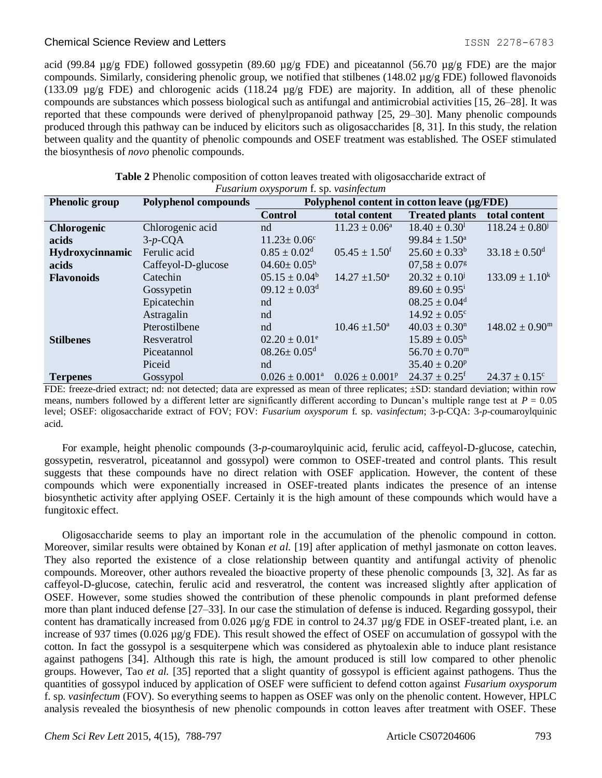acid (99.84 µg/g FDE) followed gossypetin (89.60 µg/g FDE) and piceatannol (56.70 µg/g FDE) are the major compounds. Similarly, considering phenolic group, we notified that stilbenes (148.02  $\mu$ g/g FDE) followed flavonoids (133.09 µg/g FDE) and chlorogenic acids (118.24 µg/g FDE) are majority. In addition, all of these phenolic compounds are substances which possess biological such as antifungal and antimicrobial activities [15, 26–28]. It was reported that these compounds were derived of phenylpropanoid pathway [25, 29–30]. Many phenolic compounds produced through this pathway can be induced by elicitors such as oligosaccharides [8, 31]. In this study, the relation between quality and the quantity of phenolic compounds and OSEF treatment was established. The OSEF stimulated the biosynthesis of *novo* phenolic compounds.

| r usarıum oxysporum 1. sp. vasinjectum |                             |                                             |                               |                               |                                |
|----------------------------------------|-----------------------------|---------------------------------------------|-------------------------------|-------------------------------|--------------------------------|
| <b>Phenolic group</b>                  | <b>Polyphenol compounds</b> | Polyphenol content in cotton leave (µg/FDE) |                               |                               |                                |
|                                        |                             | <b>Control</b>                              | total content                 | <b>Treated plants</b>         | total content                  |
| Chlorogenic                            | Chlorogenic acid            | nd                                          | $11.23 \pm 0.06^a$            | $18.40 \pm 0.30^1$            | $118.24 \pm 0.80^{\circ}$      |
| acids                                  | $3-p$ -CQA                  | $11.23 \pm 0.06^c$                          |                               | $99.84 \pm 1.50^a$            |                                |
| Hydroxycinnamic                        | Ferulic acid                | $0.85 \pm 0.02^d$                           | $05.45 \pm 1.50$ <sup>f</sup> | $25.60 \pm 0.33^b$            | $33.18 \pm 0.50$ <sup>d</sup>  |
| acids                                  | Caffeyol-D-glucose          | $04.60 \pm 0.05^{\rm b}$                    |                               | $07.58 \pm 0.07$ <sup>g</sup> |                                |
| <b>Flavonoids</b>                      | Catechin                    | $05.15 \pm 0.04^b$                          | $14.27 \pm 1.50^{\circ}$      | $20.32 \pm 0.10^{j}$          | $133.09 \pm 1.10^k$            |
|                                        | Gossypetin                  | $09.12 \pm 0.03$ <sup>d</sup>               |                               | $89.60 \pm 0.95^{\mathrm{i}}$ |                                |
|                                        | Epicatechin                 | nd                                          |                               | $08.25 \pm 0.04$ <sup>d</sup> |                                |
|                                        | Astragalin                  | nd                                          |                               | $14.92 \pm 0.05^{\circ}$      |                                |
|                                        | Pterostilbene               | nd                                          | $10.46 \pm 1.50^a$            | $40.03 \pm 0.30$ <sup>n</sup> | $148.02 \pm 0.90^{\mathrm{m}}$ |
| <b>Stilbenes</b>                       | Resveratrol                 | $02.20 \pm 0.01^e$                          |                               | $15.89 \pm 0.05^{\rm h}$      |                                |
|                                        | Piceatannol                 | $08.26 \pm 0.05$ <sup>d</sup>               |                               | $56.70 \pm 0.70^{\rm m}$      |                                |
|                                        | Piceid                      | nd                                          |                               | $35.40 \pm 0.20^p$            |                                |
| <b>Terpenes</b>                        | Gossypol                    | $0.026 \pm 0.001^{\text{a}}$                | $0.026 \pm 0.001^p$           | $24.37 \pm 0.25$ <sup>f</sup> | $24.37 \pm 0.15^{\circ}$       |

| Table 2 Phenolic composition of cotton leaves treated with oligosaccharide extract of |                                              |  |  |
|---------------------------------------------------------------------------------------|----------------------------------------------|--|--|
|                                                                                       | <i>Fusarium oxysporum f. sp. vasinfectum</i> |  |  |

FDE: freeze-dried extract; nd: not detected; data are expressed as mean of three replicates; ±SD: standard deviation; within row means, numbers followed by a different letter are significantly different according to Duncan's multiple range test at  $P = 0.05$ level; OSEF: oligosaccharide extract of FOV; FOV: *Fusarium oxysporum* f. sp. *vasinfectum*; 3-p-CQA: 3-*p*-coumaroylquinic acid.

For example, height phenolic compounds (3-*p*-coumaroylquinic acid, ferulic acid, caffeyol-D-glucose, catechin, gossypetin, resveratrol, piceatannol and gossypol) were common to OSEF-treated and control plants. This result suggests that these compounds have no direct relation with OSEF application. However, the content of these compounds which were exponentially increased in OSEF-treated plants indicates the presence of an intense biosynthetic activity after applying OSEF. Certainly it is the high amount of these compounds which would have a fungitoxic effect.

Oligosaccharide seems to play an important role in the accumulation of the phenolic compound in cotton. Moreover, similar results were obtained by Konan *et al.* [19] after application of methyl jasmonate on cotton leaves. They also reported the existence of a close relationship between quantity and antifungal activity of phenolic compounds. Moreover, other authors revealed the bioactive property of these phenolic compounds [3, 32]. As far as caffeyol-D-glucose, catechin, ferulic acid and resveratrol, the content was increased slightly after application of OSEF. However, some studies showed the contribution of these phenolic compounds in plant preformed defense more than plant induced defense [27–33]. In our case the stimulation of defense is induced. Regarding gossypol, their content has dramatically increased from 0.026  $\mu$ g/g FDE in control to 24.37  $\mu$ g/g FDE in OSEF-treated plant, i.e. an increase of 937 times ( $0.026 \mu g/g$  FDE). This result showed the effect of OSEF on accumulation of gossypol with the cotton. In fact the gossypol is a sesquiterpene which was considered as phytoalexin able to induce plant resistance against pathogens [34]. Although this rate is high, the amount produced is still low compared to other phenolic groups. However, Tao *et al.* [35] reported that a slight quantity of gossypol is efficient against pathogens. Thus the quantities of gossypol induced by application of OSEF were sufficient to defend cotton against *Fusarium oxysporum*  f. sp. *vasinfectum* (FOV). So everything seems to happen as OSEF was only on the phenolic content. However, HPLC analysis revealed the biosynthesis of new phenolic compounds in cotton leaves after treatment with OSEF. These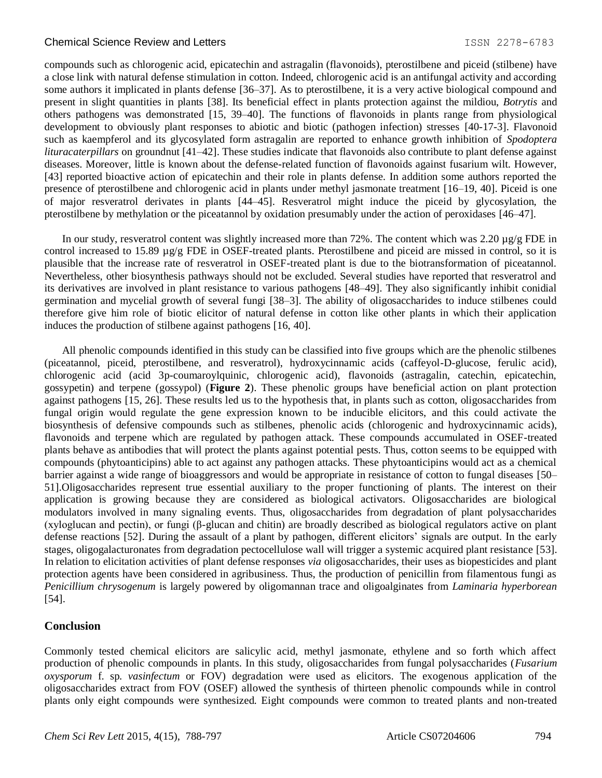compounds such as chlorogenic acid, epicatechin and astragalin (flavonoids), pterostilbene and piceid (stilbene) have a close link with natural defense stimulation in cotton. Indeed, chlorogenic acid is an antifungal activity and according some authors it implicated in plants defense [36–37]. As to pterostilbene, it is a very active biological compound and present in slight quantities in plants [38]. Its beneficial effect in plants protection against the mildiou, *Botrytis* and others pathogens was demonstrated [15, 39–40]. The functions of flavonoids in plants range from physiological development to obviously plant responses to abiotic and biotic (pathogen infection) stresses [40-17-3]. Flavonoid such as kaempferol and its glycosylated form astragalin are reported to enhance growth inhibition of *Spodoptera lituracaterpillars* on groundnut [41–42]. These studies indicate that flavonoids also contribute to plant defense against diseases. Moreover, little is known about the defense-related function of flavonoids against fusarium wilt. However, [43] reported bioactive action of epicatechin and their role in plants defense. In addition some authors reported the presence of pterostilbene and chlorogenic acid in plants under methyl jasmonate treatment [16–19, 40]. Piceid is one of major resveratrol derivates in plants [44–45]. Resveratrol might induce the piceid by glycosylation, the pterostilbene by methylation or the piceatannol by oxidation presumably under the action of peroxidases [46–47].

In our study, resveratrol content was slightly increased more than 72%. The content which was 2.20 µg/g FDE in control increased to 15.89 µg/g FDE in OSEF-treated plants. Pterostilbene and piceid are missed in control, so it is plausible that the increase rate of resveratrol in OSEF-treated plant is due to the biotransformation of piceatannol. Nevertheless, other biosynthesis pathways should not be excluded. Several studies have reported that resveratrol and its derivatives are involved in plant resistance to various pathogens [48–49]. They also significantly inhibit conidial germination and mycelial growth of several fungi [38–3]. The ability of oligosaccharides to induce stilbenes could therefore give him role of biotic elicitor of natural defense in cotton like other plants in which their application induces the production of stilbene against pathogens [16, 40].

All phenolic compounds identified in this study can be classified into five groups which are the phenolic stilbenes (piceatannol, piceid, pterostilbene, and resveratrol), hydroxycinnamic acids (caffeyol-D-glucose, ferulic acid), chlorogenic acid (acid 3p-coumaroylquinic, chlorogenic acid), flavonoids (astragalin, catechin, epicatechin, gossypetin) and terpene (gossypol) (**Figure 2**). These phenolic groups have beneficial action on plant protection against pathogens [15, 26]. These results led us to the hypothesis that, in plants such as cotton, oligosaccharides from fungal origin would regulate the gene expression known to be inducible elicitors, and this could activate the biosynthesis of defensive compounds such as stilbenes, phenolic acids (chlorogenic and hydroxycinnamic acids), flavonoids and terpene which are regulated by pathogen attack. These compounds accumulated in OSEF-treated plants behave as antibodies that will protect the plants against potential pests. Thus, cotton seems to be equipped with compounds (phytoanticipins) able to act against any pathogen attacks. These phytoanticipins would act as a chemical barrier against a wide range of bioaggressors and would be appropriate in resistance of cotton to fungal diseases [50– 51].Oligosaccharides represent true essential auxiliary to the proper functioning of plants. The interest on their application is growing because they are considered as biological activators. Oligosaccharides are biological modulators involved in many signaling events. Thus, oligosaccharides from degradation of plant polysaccharides (xyloglucan and pectin), or fungi (β-glucan and chitin) are broadly described as biological regulators active on plant defense reactions [52]. During the assault of a plant by pathogen, different elicitors' signals are output. In the early stages, oligogalacturonates from degradation pectocellulose wall will trigger a systemic acquired plant resistance [53]. In relation to elicitation activities of plant defense responses *via* oligosaccharides, their uses as biopesticides and plant protection agents have been considered in agribusiness. Thus, the production of penicillin from filamentous fungi as *Penicillium chrysogenum* is largely powered by oligomannan trace and oligoalginates from *Laminaria hyperborean*  [54].

#### **Conclusion**

Commonly tested chemical elicitors are salicylic acid, methyl jasmonate, ethylene and so forth which affect production of phenolic compounds in plants. In this study, oligosaccharides from fungal polysaccharides (*Fusarium oxysporum* f. sp. *vasinfectum* or FOV) degradation were used as elicitors. The exogenous application of the oligosaccharides extract from FOV (OSEF) allowed the synthesis of thirteen phenolic compounds while in control plants only eight compounds were synthesized. Eight compounds were common to treated plants and non-treated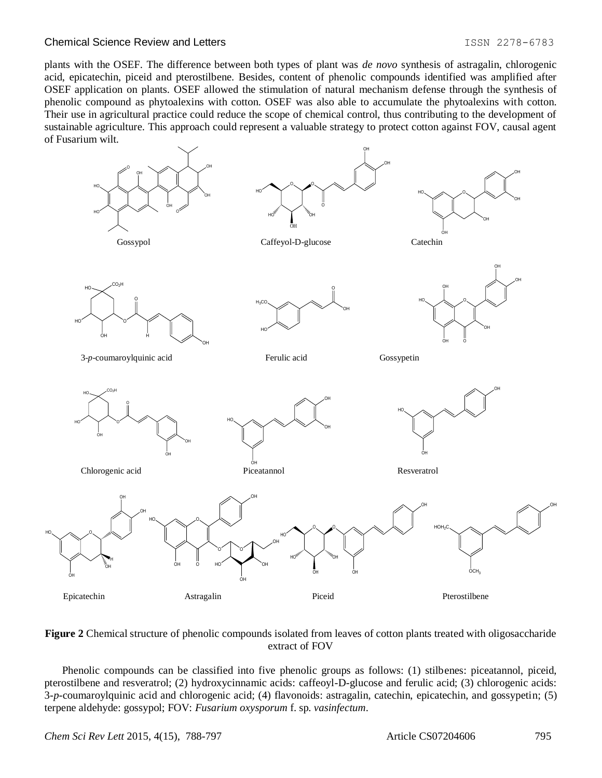#### Chemical Science Review and Letters **ISSN 2278-6783** 1SSN 2278-6783

plants with the OSEF. The difference between both types of plant was *de novo* synthesis of astragalin, chlorogenic acid, epicatechin, piceid and pterostilbene. Besides, content of phenolic compounds identified was amplified after OSEF application on plants. OSEF allowed the stimulation of natural mechanism defense through the synthesis of phenolic compound as phytoalexins with cotton. OSEF was also able to accumulate the phytoalexins with cotton. Their use in agricultural practice could reduce the scope of chemical control, thus contributing to the development of sustainable agriculture. This approach could represent a valuable strategy to protect cotton against FOV, causal agent of Fusarium wilt.



#### **Figure 2** Chemical structure of phenolic compounds isolated from leaves of cotton plants treated with oligosaccharide extract of FOV

Phenolic compounds can be classified into five phenolic groups as follows: (1) stilbenes: piceatannol, piceid, pterostilbene and resveratrol; (2) hydroxycinnamic acids: caffeoyl-D-glucose and ferulic acid; (3) chlorogenic acids: 3-*p*-coumaroylquinic acid and chlorogenic acid; (4) flavonoids: astragalin, catechin, epicatechin, and gossypetin; (5) terpene aldehyde: gossypol; FOV: *Fusarium oxysporum* f. sp. *vasinfectum*.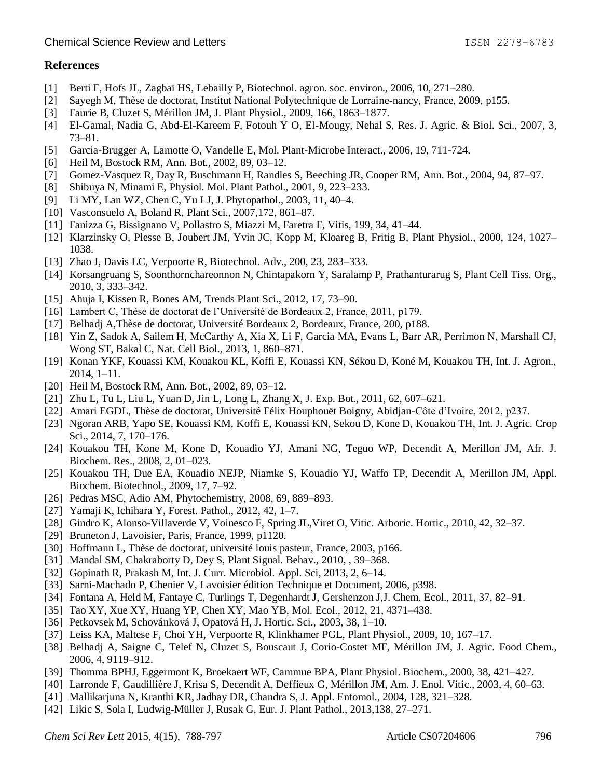# **References**

- [1] Berti F, Hofs JL, Zagbaï HS, Lebailly P, Biotechnol. agron. soc. environ., 2006, 10, 271–280.
- [2] Sayegh M, Thèse de doctorat, Institut National Polytechnique de Lorraine-nancy, France, 2009, p155.
- [3] Faurie B, Cluzet S, Mérillon JM, J. Plant Physiol., 2009, 166, 1863–1877.
- [4] El-Gamal, Nadia G, Abd-El-Kareem F, Fotouh Y O, El-Mougy, Nehal S, Res. J. Agric. & Biol. Sci., 2007, 3, 73–81.
- [5] Garcia-Brugger A, Lamotte O, Vandelle E, Mol. Plant-Microbe Interact., 2006, 19, 711-724.
- [6] Heil M, Bostock RM, Ann. Bot., 2002, 89, 03-12.
- [7] Gomez-Vasquez R, Day R, Buschmann H, Randles S, Beeching JR, Cooper RM, Ann. Bot., 2004, 94, 87–97.
- [8] Shibuya N, Minami E, Physiol. Mol. Plant Pathol., 2001, 9, 223–233.
- [9] Li MY, Lan WZ, Chen C, Yu LJ, J. Phytopathol., 2003, 11, 40–4.
- [10] Vasconsuelo A, Boland R, Plant Sci., 2007, 172, 861–87.
- [11] Fanizza G, Bissignano V, Pollastro S, Miazzi M, Faretra F, Vitis, 199, 34, 41–44.
- [12] Klarzinsky O, Plesse B, Joubert JM, Yvin JC, Kopp M, Kloareg B, Fritig B, Plant Physiol., 2000, 124, 1027– 1038.
- [13] Zhao J, Davis LC, Verpoorte R, Biotechnol. Adv., 200, 23, 283–333.
- [14] Korsangruang S, Soonthornchareonnon N, Chintapakorn Y, Saralamp P, Prathanturarug S, Plant Cell Tiss. Org., 2010, 3, 333–342.
- [15] Ahuja I, Kissen R, Bones AM, Trends Plant Sci., 2012, 17, 73–90.
- [16] Lambert C, Thèse de doctorat de l'Université de Bordeaux 2, France, 2011, p179.
- [17] Belhadj A,Thèse de doctorat, Université Bordeaux 2, Bordeaux, France, 200, p188.
- [18] Yin Z, Sadok A, Sailem H, McCarthy A, Xia X, Li F, Garcia MA, Evans L, Barr AR, Perrimon N, Marshall CJ, Wong ST, Bakal C, Nat. Cell Biol., 2013, 1, 860–871.
- [19] Konan YKF, Kouassi KM, Kouakou KL, Koffi E, Kouassi KN, Sékou D, Koné M, Kouakou TH, Int. J. Agron., 2014, 1–11.
- [20] Heil M, Bostock RM, Ann. Bot., 2002, 89, 03–12.
- [21] Zhu L, Tu L, Liu L, Yuan D, Jin L, Long L, Zhang X, J. Exp. Bot., 2011, 62, 607–621.
- [22] Amari EGDL, Thèse de doctorat, Université Félix Houphouët Boigny, Abidjan-Côte d'Ivoire, 2012, p237.
- [23] Ngoran ARB, Yapo SE, Kouassi KM, Koffi E, Kouassi KN, Sekou D, Kone D, Kouakou TH, Int. J. Agric. Crop Sci., 2014, 7, 170–176.
- [24] Kouakou TH, Kone M, Kone D, Kouadio YJ, Amani NG, Teguo WP, Decendit A, Merillon JM, Afr. J. Biochem. Res., 2008, 2, 01–023.
- [25] Kouakou TH, Due EA, Kouadio NEJP, Niamke S, Kouadio YJ, Waffo TP, Decendit A, Merillon JM, Appl. Biochem. Biotechnol., 2009, 17, 7–92.
- [26] Pedras MSC, Adio AM, Phytochemistry, 2008, 69, 889–893.
- [27] Yamaji K, Ichihara Y, Forest. Pathol., 2012, 42, 1–7.
- [28] Gindro K, Alonso-Villaverde V, Voinesco F, Spring JL, Viret O, Vitic. Arboric. Hortic., 2010, 42, 32–37.
- [29] Bruneton J, Lavoisier, Paris, France, 1999, p1120.
- [30] Hoffmann L, Thèse de doctorat, université louis pasteur, France, 2003, p166.
- [31] Mandal SM, Chakraborty D, Dey S, Plant Signal. Behav., 2010, , 39–368.
- [32] Gopinath R, Prakash M, Int. J. Curr. Microbiol. Appl. Sci, 2013, 2, 6–14.
- [33] Sarni-Machado P, Chenier V, Lavoisier édition Technique et Document, 2006, p398.
- [34] Fontana A, Held M, Fantaye C, Turlings T, Degenhardt J, Gershenzon J,J. Chem. Ecol., 2011, 37, 82–91.
- [35] Tao XY, Xue XY, Huang YP, Chen XY, Mao YB, Mol. Ecol., 2012, 21, 4371–438.
- [36] Petkovsek M, Schovánková J, Opatová H, J. Hortic. Sci., 2003, 38, 1–10.
- [37] Leiss KA, Maltese F, Choi YH, Verpoorte R, Klinkhamer PGL, Plant Physiol., 2009, 10, 167–17.
- [38] Belhadj A, Saigne C, Telef N, Cluzet S, Bouscaut J, Corio-Costet MF, Mérillon JM, J. Agric. Food Chem., 2006, 4, 9119–912.
- [39] Thomma BPHJ, Eggermont K, Broekaert WF, Cammue BPA, Plant Physiol. Biochem., 2000, 38, 421–427.
- [40] Larronde F, Gaudillière J, Krisa S, Decendit A, Deffieux G, Mérillon JM, Am. J. Enol. Vitic., 2003, 4, 60–63.
- [41] Mallikarjuna N, Kranthi KR, Jadhay DR, Chandra S, J. Appl. Entomol., 2004, 128, 321–328.
- [42] Likic S, Sola I, Ludwig-Müller J, Rusak G, Eur. J. Plant Pathol., 2013,138, 27–271.